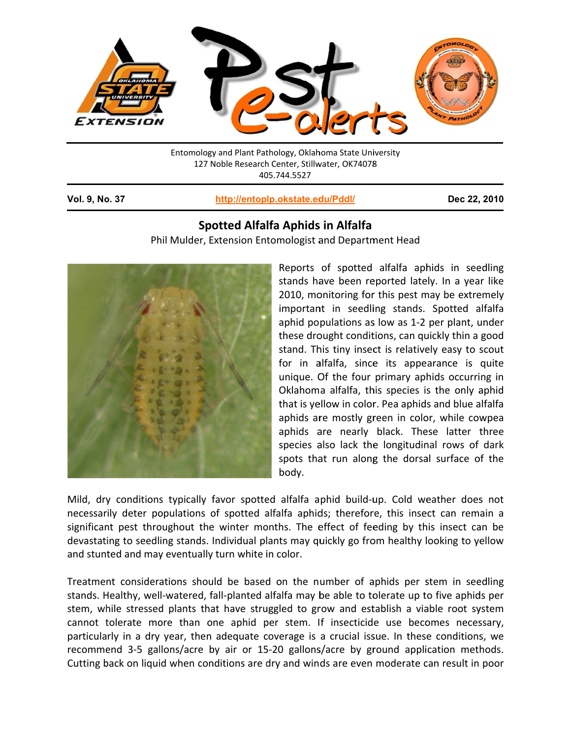

127 Noble Research Center, Stillwater, OK74078<br>405.744.5527<br>http://entoplp.okstate.edu/Pddl/<br>Spotted Alfalfa Aphids in Alfalfa<br>Phil Mulder, Extension Entomologist and Department Head Entomology and Plant Pathology, Oklahoma State University 127 Noble Research Center, Stillwater, OK74078 40 05.744.5527

**Vol. 9, No o. 37**

l

## **http://entop lp.okstate.ed du/Pddl/**

**Dec 22, , 2010**

## **Spo otted Alfa lfa Aphids s in Alfalfa**



Reports of spotted alfalfa aphids in seedling stands have been reported lately. In a year like 2010, monitoring for this pest may be extremely important in seedling stands. Spotted alfalfa aphid populations as low as 1-2 per plant, under these drought conditions, can quickly thin a good stand. This tiny insect is relatively easy to scout for in alfalfa, since its appearance is quite unique. Of the four primary aphids occurring in Oklahoma alfalfa, this species is the only aphid that is yellow in color. Pea aphids and blue alfalfa aphids are mostly green in color, while cowpea aphids are nearly black. These latter three species also lack the longitudinal rows of dark spots that run along the dorsal surface of the body.

Mild, dry conditions typically favor spotted alfalfa aphid build-up. Cold weather does not necessarily deter populations of spotted alfalfa aphids; therefore, this insect can remain a significant pest throughout the winter months. The effect of feeding by this insect can be devastating to seedling stands. Individual plants may quickly go from healthy looking to yellow and stunted and may eventually turn white in color.

Treatment considerations should be based on the number of aphids per stem in seedling stands. Healthy, well-watered, fall-planted alfalfa may be able to tolerate up to five aphids per stem, while stressed plants that have struggled to grow and establish a viable root system cannot tolerate more than one aphid per stem. If insecticide use becomes necessary, particularly in a dry year, then adequate coverage is a crucial issue. In these conditions, we recommend 3-5 gallons/acre by air or 15-20 gallons/acre by ground application methods. Cutting back on liquid when conditions are dry and winds are even moderate can result in poor